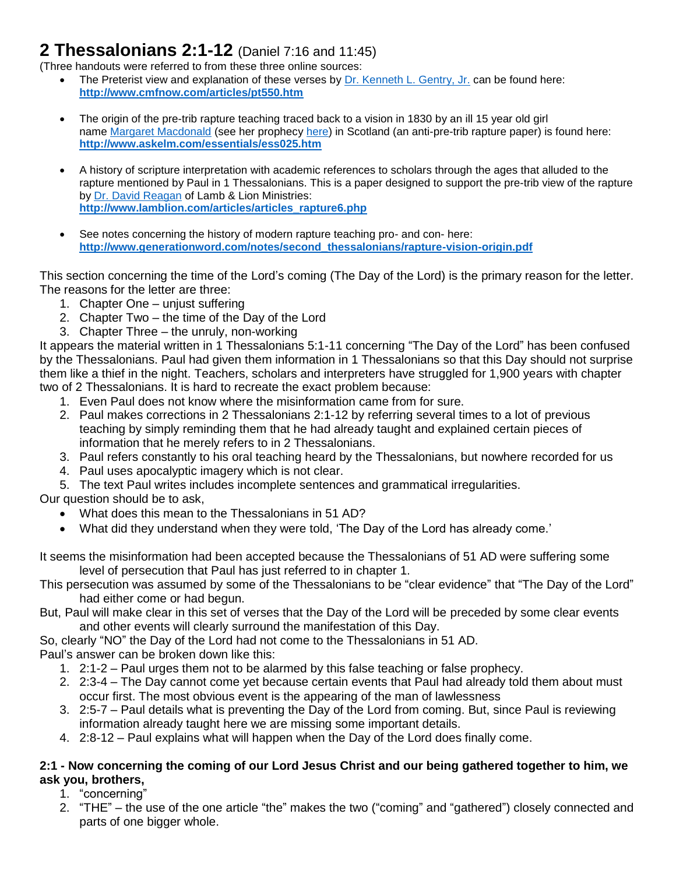# **2 Thessalonians 2:1-12** (Daniel 7:16 and 11:45)

(Three handouts were referred to from these three online sources:

- The Preterist view and explanation of these verses by [Dr. Kenneth L. Gentry, Jr.](http://www.kennethgentry.com/) can be found here: **<http://www.cmfnow.com/articles/pt550.htm>**
- The origin of the pre-trib rapture teaching traced back to a vision in 1830 by an ill 15 year old girl name [Margaret Macdonald](http://en.wikipedia.org/wiki/Margaret_McDonald_(visionary)) (see her prophecy [here\)](http://en.wikipedia.org/wiki/Margaret_McDonald_(visionary)) in Scotland (an anti-pre-trib rapture paper) is found here: **<http://www.askelm.com/essentials/ess025.htm>**
- A history of scripture interpretation with academic references to scholars through the ages that alluded to the rapture mentioned by Paul in 1 Thessalonians. This is a paper designed to support the pre-trib view of the rapture by [Dr. David Reagan](http://lamblion.com/about_staff_reagan.php) of Lamb & Lion Ministries: **[http://www.lamblion.com/articles/articles\\_rapture6.php](http://www.lamblion.com/articles/articles_rapture6.php)**
- See notes concerning the history of modern rapture teaching pro- and con- here: **[http://www.generationword.com/notes/second\\_thessalonians/rapture-vision-origin.pdf](http://www.generationword.com/notes/second_thessalonians/rapture-vision-origin.pdf)**

This section concerning the time of the Lord's coming (The Day of the Lord) is the primary reason for the letter. The reasons for the letter are three:

- 1. Chapter One unjust suffering
- 2. Chapter Two the time of the Day of the Lord
- 3. Chapter Three the unruly, non-working

It appears the material written in 1 Thessalonians 5:1-11 concerning "The Day of the Lord" has been confused by the Thessalonians. Paul had given them information in 1 Thessalonians so that this Day should not surprise them like a thief in the night. Teachers, scholars and interpreters have struggled for 1,900 years with chapter two of 2 Thessalonians. It is hard to recreate the exact problem because:

- 1. Even Paul does not know where the misinformation came from for sure.
- 2. Paul makes corrections in 2 Thessalonians 2:1-12 by referring several times to a lot of previous teaching by simply reminding them that he had already taught and explained certain pieces of information that he merely refers to in 2 Thessalonians.
- 3. Paul refers constantly to his oral teaching heard by the Thessalonians, but nowhere recorded for us
- 4. Paul uses apocalyptic imagery which is not clear.
- 5. The text Paul writes includes incomplete sentences and grammatical irregularities.
- Our question should be to ask,
	- What does this mean to the Thessalonians in 51 AD?
	- What did they understand when they were told, 'The Day of the Lord has already come.'

It seems the misinformation had been accepted because the Thessalonians of 51 AD were suffering some level of persecution that Paul has just referred to in chapter 1.

This persecution was assumed by some of the Thessalonians to be "clear evidence" that "The Day of the Lord" had either come or had begun.

But, Paul will make clear in this set of verses that the Day of the Lord will be preceded by some clear events and other events will clearly surround the manifestation of this Day.

So, clearly "NO" the Day of the Lord had not come to the Thessalonians in 51 AD.

Paul's answer can be broken down like this:

- 1. 2:1-2 Paul urges them not to be alarmed by this false teaching or false prophecy.
- 2. 2:3-4 The Day cannot come yet because certain events that Paul had already told them about must occur first. The most obvious event is the appearing of the man of lawlessness
- 3. 2:5-7 Paul details what is preventing the Day of the Lord from coming. But, since Paul is reviewing information already taught here we are missing some important details.
- 4. 2:8-12 Paul explains what will happen when the Day of the Lord does finally come.

## **2:1 - Now concerning the coming of our Lord Jesus Christ and our being gathered together to him, we ask you, brothers,**

1. "concerning"

2. "THE" – the use of the one article "the" makes the two ("coming" and "gathered") closely connected and parts of one bigger whole.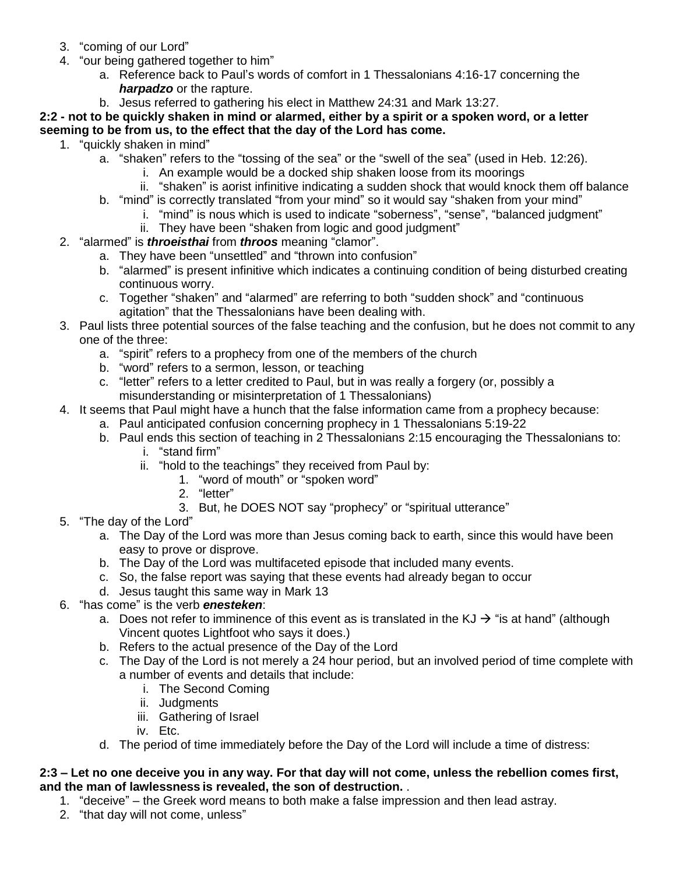- 3. "coming of our Lord"
- 4. "our being gathered together to him"
	- a. Reference back to Paul's words of comfort in 1 Thessalonians 4:16-17 concerning the *harpadzo* or the rapture.
	- b. Jesus referred to gathering his elect in Matthew 24:31 and Mark 13:27.

## **2:2 - not to be quickly shaken in mind or alarmed, either by a spirit or a spoken word, or a letter seeming to be from us, to the effect that the day of the Lord has come.**

- 1. "quickly shaken in mind"
	- a. "shaken" refers to the "tossing of the sea" or the "swell of the sea" (used in Heb. 12:26).
		- i. An example would be a docked ship shaken loose from its moorings
		- ii. "shaken" is aorist infinitive indicating a sudden shock that would knock them off balance
	- b. "mind" is correctly translated "from your mind" so it would say "shaken from your mind"
		- i. "mind" is nous which is used to indicate "soberness", "sense", "balanced judgment"
			- ii. They have been "shaken from logic and good judgment"
- 2. "alarmed" is *throeisthai* from *throos* meaning "clamor".
	- a. They have been "unsettled" and "thrown into confusion"
	- b. "alarmed" is present infinitive which indicates a continuing condition of being disturbed creating continuous worry.
	- c. Together "shaken" and "alarmed" are referring to both "sudden shock" and "continuous agitation" that the Thessalonians have been dealing with.
- 3. Paul lists three potential sources of the false teaching and the confusion, but he does not commit to any one of the three:
	- a. "spirit" refers to a prophecy from one of the members of the church
	- b. "word" refers to a sermon, lesson, or teaching
	- c. "letter" refers to a letter credited to Paul, but in was really a forgery (or, possibly a misunderstanding or misinterpretation of 1 Thessalonians)
- 4. It seems that Paul might have a hunch that the false information came from a prophecy because:
	- a. Paul anticipated confusion concerning prophecy in 1 Thessalonians 5:19-22
	- b. Paul ends this section of teaching in 2 Thessalonians 2:15 encouraging the Thessalonians to:
		- i. "stand firm"
		- ii. "hold to the teachings" they received from Paul by:
			- 1. "word of mouth" or "spoken word"
			- 2. "letter"
			- 3. But, he DOES NOT say "prophecy" or "spiritual utterance"
- 5. "The day of the Lord"
	- a. The Day of the Lord was more than Jesus coming back to earth, since this would have been easy to prove or disprove.
	- b. The Day of the Lord was multifaceted episode that included many events.
	- c. So, the false report was saying that these events had already began to occur
	- d. Jesus taught this same way in Mark 13
- 6. "has come" is the verb *enesteken*:
	- a. Does not refer to imminence of this event as is translated in the  $KJ \rightarrow$  "is at hand" (although Vincent quotes Lightfoot who says it does.)
	- b. Refers to the actual presence of the Day of the Lord
	- c. The Day of the Lord is not merely a 24 hour period, but an involved period of time complete with a number of events and details that include:
		- i. The Second Coming
		- ii. Judgments
		- iii. Gathering of Israel
		- iv. Etc.
	- d. The period of time immediately before the Day of the Lord will include a time of distress:

#### **2:3 – Let no one deceive you in any way. For that day will not come, unless the rebellion comes first, and the man of lawlessness is revealed, the son of destruction.** .

- 1. "deceive" the Greek word means to both make a false impression and then lead astray.
- 2. "that day will not come, unless"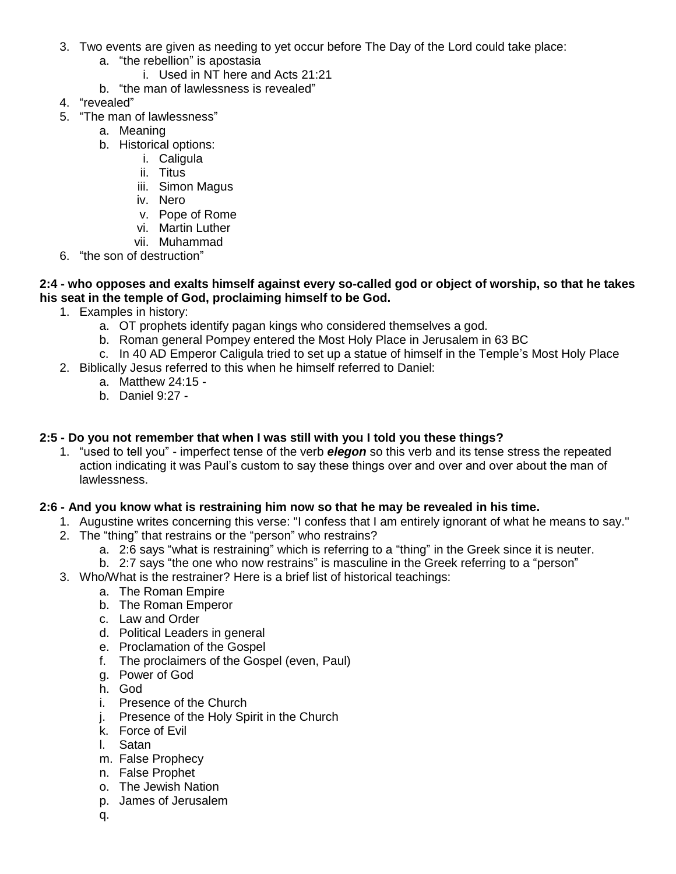- 3. Two events are given as needing to yet occur before The Day of the Lord could take place:
	- a. "the rebellion" is apostasia
		- i. Used in NT here and Acts 21:21
	- b. "the man of lawlessness is revealed"
- 4. "revealed"
- 5. "The man of lawlessness"
	- a. Meaning
	- b. Historical options:
		- i. Caligula
		- ii. Titus
		- iii. Simon Magus
		- iv. Nero
		- v. Pope of Rome
		- vi. Martin Luther
		- vii. Muhammad
- 6. "the son of destruction"

#### **2:4 - who opposes and exalts himself against every so-called god or object of worship, so that he takes his seat in the temple of God, proclaiming himself to be God.**

- 1. Examples in history:
	- a. OT prophets identify pagan kings who considered themselves a god.
	- b. Roman general Pompey entered the Most Holy Place in Jerusalem in 63 BC
	- c. In 40 AD Emperor Caligula tried to set up a statue of himself in the Temple's Most Holy Place
- 2. Biblically Jesus referred to this when he himself referred to Daniel:
	- a. Matthew 24:15 -
	- b. Daniel 9:27 -

# **2:5 - Do you not remember that when I was still with you I told you these things?**

1. "used to tell you" - imperfect tense of the verb *elegon* so this verb and its tense stress the repeated action indicating it was Paul's custom to say these things over and over and over about the man of lawlessness.

# **2:6 - And you know what is restraining him now so that he may be revealed in his time.**

- 1. Augustine writes concerning this verse: "I confess that I am entirely ignorant of what he means to say."
- 2. The "thing" that restrains or the "person" who restrains?
	- a. 2:6 says "what is restraining" which is referring to a "thing" in the Greek since it is neuter.
	- b. 2:7 says "the one who now restrains" is masculine in the Greek referring to a "person"
- 3. Who/What is the restrainer? Here is a brief list of historical teachings:
	- a. The Roman Empire
	- b. The Roman Emperor
	- c. Law and Order
	- d. Political Leaders in general
	- e. Proclamation of the Gospel
	- f. The proclaimers of the Gospel (even, Paul)
	- g. Power of God
	- h. God
	- i. Presence of the Church
	- j. Presence of the Holy Spirit in the Church
	- k. Force of Evil
	- l. Satan
	- m. False Prophecy
	- n. False Prophet
	- o. The Jewish Nation
	- p. James of Jerusalem
	- q.